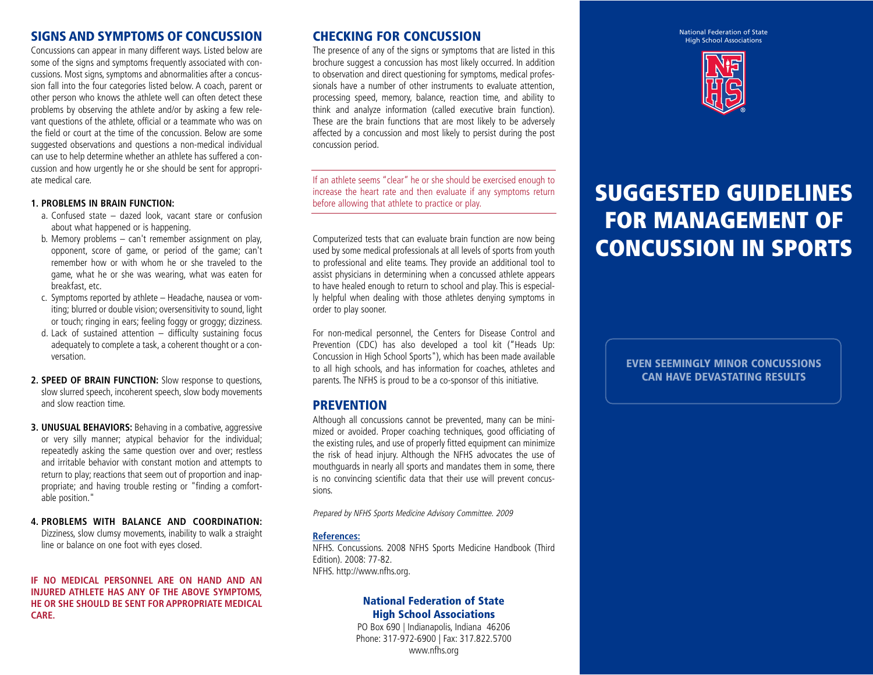#### SIGNS AND SYMPTOMS OF CONCUSSION

Concussions can appear in many different ways. Listed below are some of the signs and symptoms frequently associated with concussions. Most signs, symptoms and abnormalities after a concussion fall into the four categories listed below. A coach, parent or other person who knows the athlete well can often detect these problems by observing the athlete and/or by asking a few relevant questions of the athlete, official or a teammate who was on the field or court at the time of the concussion. Below are some suggested observations and questions a non-medical individual can use to help determine whether an athlete has suffered a concussion and how urgently he or she should be sent for appropriate medical care.

#### **1. PROBLEMS IN BRAIN FUNCTION:**

- a. Confused state dazed look, vacant stare or confusion about what happened or is happening.
- b. Memory problems can't remember assignment on play, opponent, score of game, or period of the game; can't remember how or with whom he or she traveled to the game, what he or she was wearing, what was eaten for breakfast, etc.
- c. Symptoms reported by athlete Headache, nausea or vomiting; blurred or double vision; oversensitivity to sound, light or touch; ringing in ears; feeling foggy or groggy; dizziness.
- d. Lack of sustained attention difficulty sustaining focus adequately to complete a task, a coherent thought or a conversation.
- **2. SPEED OF BRAIN FUNCTION:** Slow response to questions, slow slurred speech, incoherent speech, slow body movements and slow reaction time.
- **3. UNUSUAL BEHAVIORS:** Behaving in a combative, aggressive or very silly manner; atypical behavior for the individual; repeatedly asking the same question over and over; restless and irritable behavior with constant motion and attempts to return to play; reactions that seem out of proportion and inappropriate; and having trouble resting or "finding a comfortable position."
- **4. PROBLEMS WITH BALANCE AND COORDINATION:** Dizziness, slow clumsy movements, inability to walk a straight line or balance on one foot with eyes closed.

**IF NO MEDICAL PERSONNEL ARE ON HAND AND AN INJURED ATHLETE HAS ANY OF THE ABOVE SYMPTOMS, HE OR SHE SHOULD BE SENT FOR APPROPRIATE MEDICAL CARE.**

#### CHECKING FOR CONCUSSION

The presence of any of the signs or symptoms that are listed in this brochure suggest a concussion has most likely occurred. In addition to observation and direct questioning for symptoms, medical professionals have a number of other instruments to evaluate attention, processing speed, memory, balance, reaction time, and ability to think and analyze information (called executive brain function). These are the brain functions that are most likely to be adversely affected by a concussion and most likely to persist during the post concussion period.

If an athlete seems "clear" he or she should be exercised enough to increase the heart rate and then evaluate if any symptoms return before allowing that athlete to practice or play.

Computerized tests that can evaluate brain function are now being used by some medical professionals at all levels of sports from youth to professional and elite teams. They provide an additional tool to assist physicians in determining when a concussed athlete appears to have healed enough to return to school and play. This is especially helpful when dealing with those athletes denying symptoms in order to play sooner.

For non-medical personnel, the Centers for Disease Control and Prevention (CDC) has also developed a tool kit ("Heads Up: Concussion in High School Sports"), which has been made available to all high schools, and has information for coaches, athletes and parents. The NFHS is proud to be a co-sponsor of this initiative.

#### **PREVENTION**

Although all concussions cannot be prevented, many can be minimized or avoided. Proper coaching techniques, good officiating of the existing rules, and use of properly fitted equipment can minimize the risk of head injury. Although the NFHS advocates the use of mouthguards in nearly all sports and mandates them in some, there is no convincing scientific data that their use will prevent concussions.

Prepared by NFHS Sports Medicine Advisory Committee. 2009

#### **References:**

NFHS. Concussions. 2008 NFHS Sports Medicine Handbook (Third Edition). 2008: 77-82. NFHS. http://www.nfhs.org.

#### National Federation of State High School Associations

PO Box 690 | Indianapolis, Indiana 46206 Phone: 317-972-6900 | Fax: 317.822.5700 www.nfhs.org

National Federation of State High School Associations



# SUGGESTED GUIDELINES FOR MANAGEMENT OF CONCUSSION IN SPORTS

EVEN SEEMINGLY MINOR CONCUSSIONS CAN HAVE DEVASTATING RESULTS